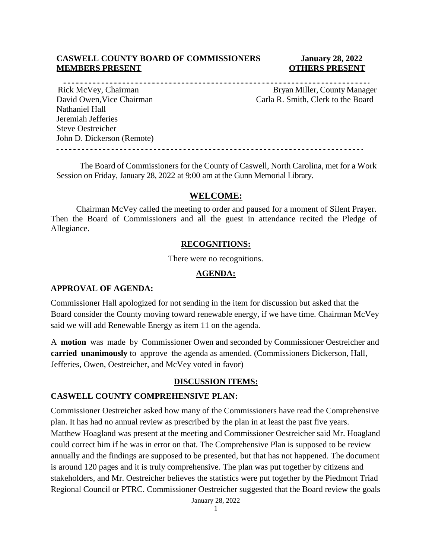## **CASWELL COUNTY BOARD OF COMMISSIONERS January 28, 2022 MEMBERS PRESENT COTHERS PRESENT**

Nathaniel Hall Jeremiah Jefferies Steve Oestreicher John D. Dickerson (Remote) 

Rick McVey, Chairman Bryan Miller, County Manager David Owen, Vice Chairman Carla R. Smith, Clerk to the Board

The Board of Commissioners for the County of Caswell, North Carolina, met for a Work Session on Friday, January 28, 2022 at 9:00 am at the Gunn Memorial Library.

## **WELCOME:**

Chairman McVey called the meeting to order and paused for a moment of Silent Prayer. Then the Board of Commissioners and all the guest in attendance recited the Pledge of Allegiance.

#### **RECOGNITIONS:**

There were no recognitions.

#### **AGENDA:**

#### **APPROVAL OF AGENDA:**

Commissioner Hall apologized for not sending in the item for discussion but asked that the Board consider the County moving toward renewable energy, if we have time. Chairman McVey said we will add Renewable Energy as item 11 on the agenda.

A **motion** was made by Commissioner Owen and seconded by Commissioner Oestreicher and **carried unanimously** to approve the agenda as amended. (Commissioners Dickerson, Hall, Jefferies, Owen, Oestreicher, and McVey voted in favor)

#### **DISCUSSION ITEMS:**

#### **CASWELL COUNTY COMPREHENSIVE PLAN:**

Commissioner Oestreicher asked how many of the Commissioners have read the Comprehensive plan. It has had no annual review as prescribed by the plan in at least the past five years. Matthew Hoagland was present at the meeting and Commissioner Oestreicher said Mr. Hoagland could correct him if he was in error on that. The Comprehensive Plan is supposed to be review annually and the findings are supposed to be presented, but that has not happened. The document is around 120 pages and it is truly comprehensive. The plan was put together by citizens and stakeholders, and Mr. Oestreicher believes the statistics were put together by the Piedmont Triad Regional Council or PTRC. Commissioner Oestreicher suggested that the Board review the goals

January 28, 2022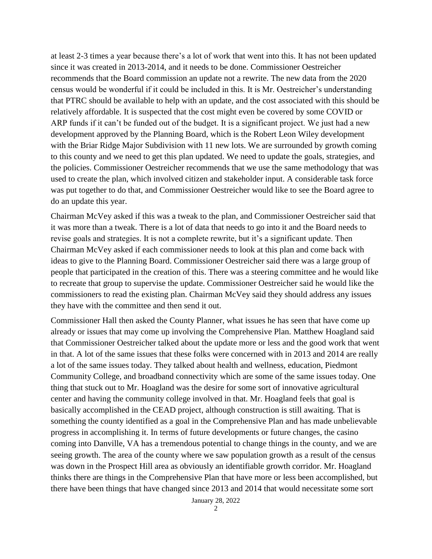at least 2-3 times a year because there's a lot of work that went into this. It has not been updated since it was created in 2013-2014, and it needs to be done. Commissioner Oestreicher recommends that the Board commission an update not a rewrite. The new data from the 2020 census would be wonderful if it could be included in this. It is Mr. Oestreicher's understanding that PTRC should be available to help with an update, and the cost associated with this should be relatively affordable. It is suspected that the cost might even be covered by some COVID or ARP funds if it can't be funded out of the budget. It is a significant project. We just had a new development approved by the Planning Board, which is the Robert Leon Wiley development with the Briar Ridge Major Subdivision with 11 new lots. We are surrounded by growth coming to this county and we need to get this plan updated. We need to update the goals, strategies, and the policies. Commissioner Oestreicher recommends that we use the same methodology that was used to create the plan, which involved citizen and stakeholder input. A considerable task force was put together to do that, and Commissioner Oestreicher would like to see the Board agree to do an update this year.

Chairman McVey asked if this was a tweak to the plan, and Commissioner Oestreicher said that it was more than a tweak. There is a lot of data that needs to go into it and the Board needs to revise goals and strategies. It is not a complete rewrite, but it's a significant update. Then Chairman McVey asked if each commissioner needs to look at this plan and come back with ideas to give to the Planning Board. Commissioner Oestreicher said there was a large group of people that participated in the creation of this. There was a steering committee and he would like to recreate that group to supervise the update. Commissioner Oestreicher said he would like the commissioners to read the existing plan. Chairman McVey said they should address any issues they have with the committee and then send it out.

Commissioner Hall then asked the County Planner, what issues he has seen that have come up already or issues that may come up involving the Comprehensive Plan. Matthew Hoagland said that Commissioner Oestreicher talked about the update more or less and the good work that went in that. A lot of the same issues that these folks were concerned with in 2013 and 2014 are really a lot of the same issues today. They talked about health and wellness, education, Piedmont Community College, and broadband connectivity which are some of the same issues today. One thing that stuck out to Mr. Hoagland was the desire for some sort of innovative agricultural center and having the community college involved in that. Mr. Hoagland feels that goal is basically accomplished in the CEAD project, although construction is still awaiting. That is something the county identified as a goal in the Comprehensive Plan and has made unbelievable progress in accomplishing it. In terms of future developments or future changes, the casino coming into Danville, VA has a tremendous potential to change things in the county, and we are seeing growth. The area of the county where we saw population growth as a result of the census was down in the Prospect Hill area as obviously an identifiable growth corridor. Mr. Hoagland thinks there are things in the Comprehensive Plan that have more or less been accomplished, but there have been things that have changed since 2013 and 2014 that would necessitate some sort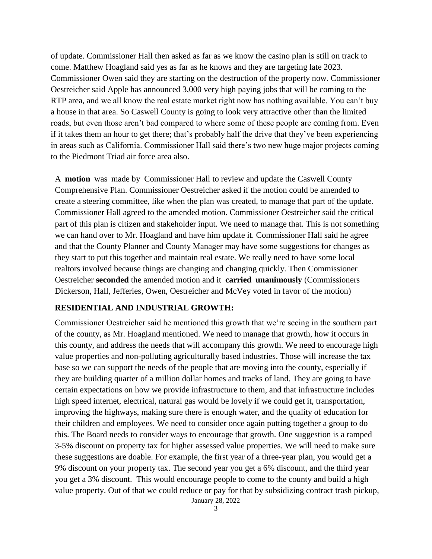of update. Commissioner Hall then asked as far as we know the casino plan is still on track to come. Matthew Hoagland said yes as far as he knows and they are targeting late 2023. Commissioner Owen said they are starting on the destruction of the property now. Commissioner Oestreicher said Apple has announced 3,000 very high paying jobs that will be coming to the RTP area, and we all know the real estate market right now has nothing available. You can't buy a house in that area. So Caswell County is going to look very attractive other than the limited roads, but even those aren't bad compared to where some of these people are coming from. Even if it takes them an hour to get there; that's probably half the drive that they've been experiencing in areas such as California. Commissioner Hall said there's two new huge major projects coming to the Piedmont Triad air force area also.

A **motion** was made by Commissioner Hall to review and update the Caswell County Comprehensive Plan. Commissioner Oestreicher asked if the motion could be amended to create a steering committee, like when the plan was created, to manage that part of the update. Commissioner Hall agreed to the amended motion. Commissioner Oestreicher said the critical part of this plan is citizen and stakeholder input. We need to manage that. This is not something we can hand over to Mr. Hoagland and have him update it. Commissioner Hall said he agree and that the County Planner and County Manager may have some suggestions for changes as they start to put this together and maintain real estate. We really need to have some local realtors involved because things are changing and changing quickly. Then Commissioner Oestreicher **seconded** the amended motion and it **carried unanimously** (Commissioners Dickerson, Hall, Jefferies, Owen, Oestreicher and McVey voted in favor of the motion)

## **RESIDENTIAL AND INDUSTRIAL GROWTH:**

Commissioner Oestreicher said he mentioned this growth that we're seeing in the southern part of the county, as Mr. Hoagland mentioned. We need to manage that growth, how it occurs in this county, and address the needs that will accompany this growth. We need to encourage high value properties and non-polluting agriculturally based industries. Those will increase the tax base so we can support the needs of the people that are moving into the county, especially if they are building quarter of a million dollar homes and tracks of land. They are going to have certain expectations on how we provide infrastructure to them, and that infrastructure includes high speed internet, electrical, natural gas would be lovely if we could get it, transportation, improving the highways, making sure there is enough water, and the quality of education for their children and employees. We need to consider once again putting together a group to do this. The Board needs to consider ways to encourage that growth. One suggestion is a ramped 3-5% discount on property tax for higher assessed value properties. We will need to make sure these suggestions are doable. For example, the first year of a three-year plan, you would get a 9% discount on your property tax. The second year you get a 6% discount, and the third year you get a 3% discount. This would encourage people to come to the county and build a high value property. Out of that we could reduce or pay for that by subsidizing contract trash pickup,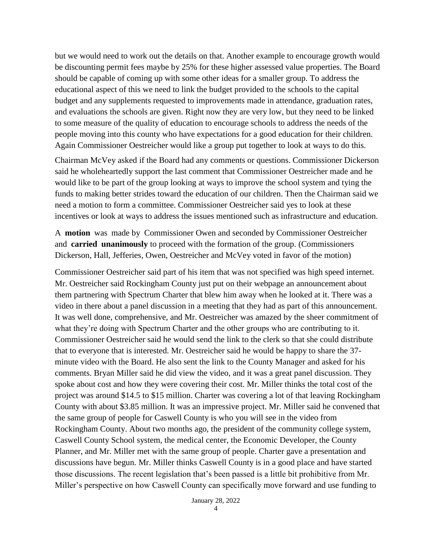but we would need to work out the details on that. Another example to encourage growth would be discounting permit fees maybe by 25% for these higher assessed value properties. The Board should be capable of coming up with some other ideas for a smaller group. To address the educational aspect of this we need to link the budget provided to the schools to the capital budget and any supplements requested to improvements made in attendance, graduation rates, and evaluations the schools are given. Right now they are very low, but they need to be linked to some measure of the quality of education to encourage schools to address the needs of the people moving into this county who have expectations for a good education for their children. Again Commissioner Oestreicher would like a group put together to look at ways to do this.

Chairman McVey asked if the Board had any comments or questions. Commissioner Dickerson said he wholeheartedly support the last comment that Commissioner Oestreicher made and he would like to be part of the group looking at ways to improve the school system and tying the funds to making better strides toward the education of our children. Then the Chairman said we need a motion to form a committee. Commissioner Oestreicher said yes to look at these incentives or look at ways to address the issues mentioned such as infrastructure and education.

A **motion** was made by Commissioner Owen and seconded by Commissioner Oestreicher and **carried unanimously** to proceed with the formation of the group. (Commissioners Dickerson, Hall, Jefferies, Owen, Oestreicher and McVey voted in favor of the motion)

Commissioner Oestreicher said part of his item that was not specified was high speed internet. Mr. Oestreicher said Rockingham County just put on their webpage an announcement about them partnering with Spectrum Charter that blew him away when he looked at it. There was a video in there about a panel discussion in a meeting that they had as part of this announcement. It was well done, comprehensive, and Mr. Oestreicher was amazed by the sheer commitment of what they're doing with Spectrum Charter and the other groups who are contributing to it. Commissioner Oestreicher said he would send the link to the clerk so that she could distribute that to everyone that is interested. Mr. Oestreicher said he would be happy to share the 37 minute video with the Board. He also sent the link to the County Manager and asked for his comments. Bryan Miller said he did view the video, and it was a great panel discussion. They spoke about cost and how they were covering their cost. Mr. Miller thinks the total cost of the project was around \$14.5 to \$15 million. Charter was covering a lot of that leaving Rockingham County with about \$3.85 million. It was an impressive project. Mr. Miller said he convened that the same group of people for Caswell County is who you will see in the video from Rockingham County. About two months ago, the president of the community college system, Caswell County School system, the medical center, the Economic Developer, the County Planner, and Mr. Miller met with the same group of people. Charter gave a presentation and discussions have begun. Mr. Miller thinks Caswell County is in a good place and have started those discussions. The recent legislation that's been passed is a little bit prohibitive from Mr. Miller's perspective on how Caswell County can specifically move forward and use funding to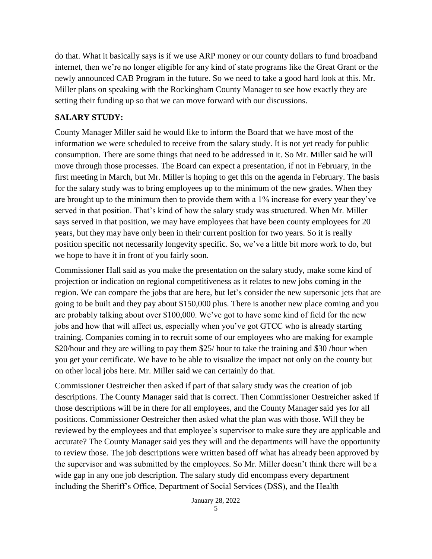do that. What it basically says is if we use ARP money or our county dollars to fund broadband internet, then we're no longer eligible for any kind of state programs like the Great Grant or the newly announced CAB Program in the future. So we need to take a good hard look at this. Mr. Miller plans on speaking with the Rockingham County Manager to see how exactly they are setting their funding up so that we can move forward with our discussions.

# **SALARY STUDY:**

County Manager Miller said he would like to inform the Board that we have most of the information we were scheduled to receive from the salary study. It is not yet ready for public consumption. There are some things that need to be addressed in it. So Mr. Miller said he will move through those processes. The Board can expect a presentation, if not in February, in the first meeting in March, but Mr. Miller is hoping to get this on the agenda in February. The basis for the salary study was to bring employees up to the minimum of the new grades. When they are brought up to the minimum then to provide them with a 1% increase for every year they've served in that position. That's kind of how the salary study was structured. When Mr. Miller says served in that position, we may have employees that have been county employees for 20 years, but they may have only been in their current position for two years. So it is really position specific not necessarily longevity specific. So, we've a little bit more work to do, but we hope to have it in front of you fairly soon.

Commissioner Hall said as you make the presentation on the salary study, make some kind of projection or indication on regional competitiveness as it relates to new jobs coming in the region. We can compare the jobs that are here, but let's consider the new supersonic jets that are going to be built and they pay about \$150,000 plus. There is another new place coming and you are probably talking about over \$100,000. We've got to have some kind of field for the new jobs and how that will affect us, especially when you've got GTCC who is already starting training. Companies coming in to recruit some of our employees who are making for example \$20/hour and they are willing to pay them \$25/ hour to take the training and \$30 /hour when you get your certificate. We have to be able to visualize the impact not only on the county but on other local jobs here. Mr. Miller said we can certainly do that.

Commissioner Oestreicher then asked if part of that salary study was the creation of job descriptions. The County Manager said that is correct. Then Commissioner Oestreicher asked if those descriptions will be in there for all employees, and the County Manager said yes for all positions. Commissioner Oestreicher then asked what the plan was with those. Will they be reviewed by the employees and that employee's supervisor to make sure they are applicable and accurate? The County Manager said yes they will and the departments will have the opportunity to review those. The job descriptions were written based off what has already been approved by the supervisor and was submitted by the employees. So Mr. Miller doesn't think there will be a wide gap in any one job description. The salary study did encompass every department including the Sheriff's Office, Department of Social Services (DSS), and the Health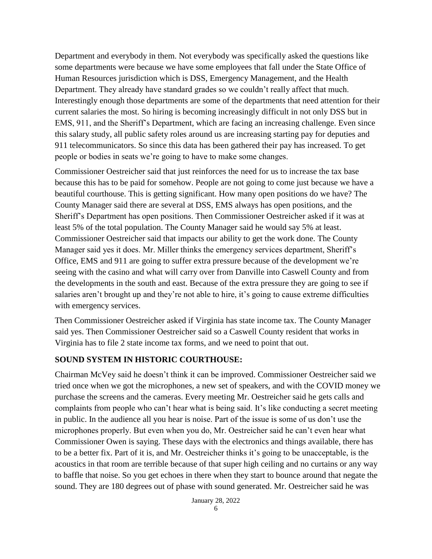Department and everybody in them. Not everybody was specifically asked the questions like some departments were because we have some employees that fall under the State Office of Human Resources jurisdiction which is DSS, Emergency Management, and the Health Department. They already have standard grades so we couldn't really affect that much. Interestingly enough those departments are some of the departments that need attention for their current salaries the most. So hiring is becoming increasingly difficult in not only DSS but in EMS, 911, and the Sheriff's Department, which are facing an increasing challenge. Even since this salary study, all public safety roles around us are increasing starting pay for deputies and 911 telecommunicators. So since this data has been gathered their pay has increased. To get people or bodies in seats we're going to have to make some changes.

Commissioner Oestreicher said that just reinforces the need for us to increase the tax base because this has to be paid for somehow. People are not going to come just because we have a beautiful courthouse. This is getting significant. How many open positions do we have? The County Manager said there are several at DSS, EMS always has open positions, and the Sheriff's Department has open positions. Then Commissioner Oestreicher asked if it was at least 5% of the total population. The County Manager said he would say 5% at least. Commissioner Oestreicher said that impacts our ability to get the work done. The County Manager said yes it does. Mr. Miller thinks the emergency services department, Sheriff's Office, EMS and 911 are going to suffer extra pressure because of the development we're seeing with the casino and what will carry over from Danville into Caswell County and from the developments in the south and east. Because of the extra pressure they are going to see if salaries aren't brought up and they're not able to hire, it's going to cause extreme difficulties with emergency services.

Then Commissioner Oestreicher asked if Virginia has state income tax. The County Manager said yes. Then Commissioner Oestreicher said so a Caswell County resident that works in Virginia has to file 2 state income tax forms, and we need to point that out.

## **SOUND SYSTEM IN HISTORIC COURTHOUSE:**

Chairman McVey said he doesn't think it can be improved. Commissioner Oestreicher said we tried once when we got the microphones, a new set of speakers, and with the COVID money we purchase the screens and the cameras. Every meeting Mr. Oestreicher said he gets calls and complaints from people who can't hear what is being said. It's like conducting a secret meeting in public. In the audience all you hear is noise. Part of the issue is some of us don't use the microphones properly. But even when you do, Mr. Oestreicher said he can't even hear what Commissioner Owen is saying. These days with the electronics and things available, there has to be a better fix. Part of it is, and Mr. Oestreicher thinks it's going to be unacceptable, is the acoustics in that room are terrible because of that super high ceiling and no curtains or any way to baffle that noise. So you get echoes in there when they start to bounce around that negate the sound. They are 180 degrees out of phase with sound generated. Mr. Oestreicher said he was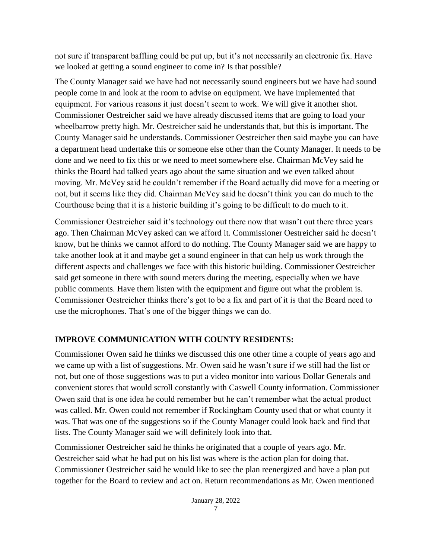not sure if transparent baffling could be put up, but it's not necessarily an electronic fix. Have we looked at getting a sound engineer to come in? Is that possible?

The County Manager said we have had not necessarily sound engineers but we have had sound people come in and look at the room to advise on equipment. We have implemented that equipment. For various reasons it just doesn't seem to work. We will give it another shot. Commissioner Oestreicher said we have already discussed items that are going to load your wheelbarrow pretty high. Mr. Oestreicher said he understands that, but this is important. The County Manager said he understands. Commissioner Oestreicher then said maybe you can have a department head undertake this or someone else other than the County Manager. It needs to be done and we need to fix this or we need to meet somewhere else. Chairman McVey said he thinks the Board had talked years ago about the same situation and we even talked about moving. Mr. McVey said he couldn't remember if the Board actually did move for a meeting or not, but it seems like they did. Chairman McVey said he doesn't think you can do much to the Courthouse being that it is a historic building it's going to be difficult to do much to it.

Commissioner Oestreicher said it's technology out there now that wasn't out there three years ago. Then Chairman McVey asked can we afford it. Commissioner Oestreicher said he doesn't know, but he thinks we cannot afford to do nothing. The County Manager said we are happy to take another look at it and maybe get a sound engineer in that can help us work through the different aspects and challenges we face with this historic building. Commissioner Oestreicher said get someone in there with sound meters during the meeting, especially when we have public comments. Have them listen with the equipment and figure out what the problem is. Commissioner Oestreicher thinks there's got to be a fix and part of it is that the Board need to use the microphones. That's one of the bigger things we can do.

# **IMPROVE COMMUNICATION WITH COUNTY RESIDENTS:**

Commissioner Owen said he thinks we discussed this one other time a couple of years ago and we came up with a list of suggestions. Mr. Owen said he wasn't sure if we still had the list or not, but one of those suggestions was to put a video monitor into various Dollar Generals and convenient stores that would scroll constantly with Caswell County information. Commissioner Owen said that is one idea he could remember but he can't remember what the actual product was called. Mr. Owen could not remember if Rockingham County used that or what county it was. That was one of the suggestions so if the County Manager could look back and find that lists. The County Manager said we will definitely look into that.

Commissioner Oestreicher said he thinks he originated that a couple of years ago. Mr. Oestreicher said what he had put on his list was where is the action plan for doing that. Commissioner Oestreicher said he would like to see the plan reenergized and have a plan put together for the Board to review and act on. Return recommendations as Mr. Owen mentioned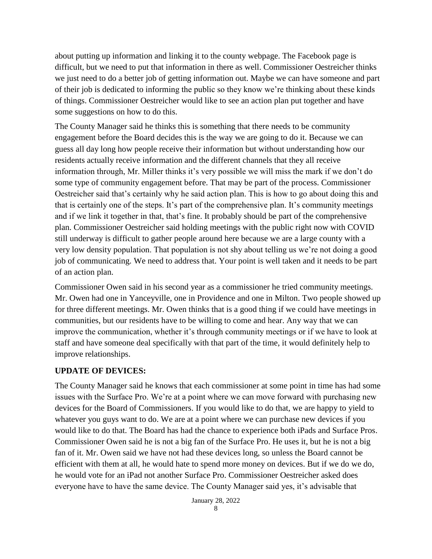about putting up information and linking it to the county webpage. The Facebook page is difficult, but we need to put that information in there as well. Commissioner Oestreicher thinks we just need to do a better job of getting information out. Maybe we can have someone and part of their job is dedicated to informing the public so they know we're thinking about these kinds of things. Commissioner Oestreicher would like to see an action plan put together and have some suggestions on how to do this.

The County Manager said he thinks this is something that there needs to be community engagement before the Board decides this is the way we are going to do it. Because we can guess all day long how people receive their information but without understanding how our residents actually receive information and the different channels that they all receive information through, Mr. Miller thinks it's very possible we will miss the mark if we don't do some type of community engagement before. That may be part of the process. Commissioner Oestreicher said that's certainly why he said action plan. This is how to go about doing this and that is certainly one of the steps. It's part of the comprehensive plan. It's community meetings and if we link it together in that, that's fine. It probably should be part of the comprehensive plan. Commissioner Oestreicher said holding meetings with the public right now with COVID still underway is difficult to gather people around here because we are a large county with a very low density population. That population is not shy about telling us we're not doing a good job of communicating. We need to address that. Your point is well taken and it needs to be part of an action plan.

Commissioner Owen said in his second year as a commissioner he tried community meetings. Mr. Owen had one in Yanceyville, one in Providence and one in Milton. Two people showed up for three different meetings. Mr. Owen thinks that is a good thing if we could have meetings in communities, but our residents have to be willing to come and hear. Any way that we can improve the communication, whether it's through community meetings or if we have to look at staff and have someone deal specifically with that part of the time, it would definitely help to improve relationships.

## **UPDATE OF DEVICES:**

The County Manager said he knows that each commissioner at some point in time has had some issues with the Surface Pro. We're at a point where we can move forward with purchasing new devices for the Board of Commissioners. If you would like to do that, we are happy to yield to whatever you guys want to do. We are at a point where we can purchase new devices if you would like to do that. The Board has had the chance to experience both iPads and Surface Pros. Commissioner Owen said he is not a big fan of the Surface Pro. He uses it, but he is not a big fan of it. Mr. Owen said we have not had these devices long, so unless the Board cannot be efficient with them at all, he would hate to spend more money on devices. But if we do we do, he would vote for an iPad not another Surface Pro. Commissioner Oestreicher asked does everyone have to have the same device. The County Manager said yes, it's advisable that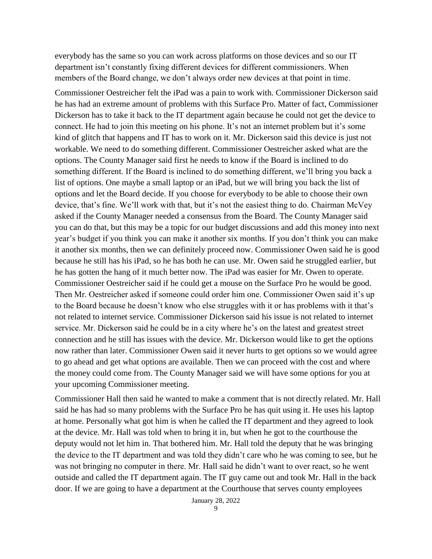everybody has the same so you can work across platforms on those devices and so our IT department isn't constantly fixing different devices for different commissioners. When members of the Board change, we don't always order new devices at that point in time.

Commissioner Oestreicher felt the iPad was a pain to work with. Commissioner Dickerson said he has had an extreme amount of problems with this Surface Pro. Matter of fact, Commissioner Dickerson has to take it back to the IT department again because he could not get the device to connect. He had to join this meeting on his phone. It's not an internet problem but it's some kind of glitch that happens and IT has to work on it. Mr. Dickerson said this device is just not workable. We need to do something different. Commissioner Oestreicher asked what are the options. The County Manager said first he needs to know if the Board is inclined to do something different. If the Board is inclined to do something different, we'll bring you back a list of options. One maybe a small laptop or an iPad, but we will bring you back the list of options and let the Board decide. If you choose for everybody to be able to choose their own device, that's fine. We'll work with that, but it's not the easiest thing to do. Chairman McVey asked if the County Manager needed a consensus from the Board. The County Manager said you can do that, but this may be a topic for our budget discussions and add this money into next year's budget if you think you can make it another six months. If you don't think you can make it another six months, then we can definitely proceed now. Commissioner Owen said he is good because he still has his iPad, so he has both he can use. Mr. Owen said he struggled earlier, but he has gotten the hang of it much better now. The iPad was easier for Mr. Owen to operate. Commissioner Oestreicher said if he could get a mouse on the Surface Pro he would be good. Then Mr. Oestreicher asked if someone could order him one. Commissioner Owen said it's up to the Board because he doesn't know who else struggles with it or has problems with it that's not related to internet service. Commissioner Dickerson said his issue is not related to internet service. Mr. Dickerson said he could be in a city where he's on the latest and greatest street connection and he still has issues with the device. Mr. Dickerson would like to get the options now rather than later. Commissioner Owen said it never hurts to get options so we would agree to go ahead and get what options are available. Then we can proceed with the cost and where the money could come from. The County Manager said we will have some options for you at your upcoming Commissioner meeting.

Commissioner Hall then said he wanted to make a comment that is not directly related. Mr. Hall said he has had so many problems with the Surface Pro he has quit using it. He uses his laptop at home. Personally what got him is when he called the IT department and they agreed to look at the device. Mr. Hall was told when to bring it in, but when he got to the courthouse the deputy would not let him in. That bothered him. Mr. Hall told the deputy that he was bringing the device to the IT department and was told they didn't care who he was coming to see, but he was not bringing no computer in there. Mr. Hall said he didn't want to over react, so he went outside and called the IT department again. The IT guy came out and took Mr. Hall in the back door. If we are going to have a department at the Courthouse that serves county employees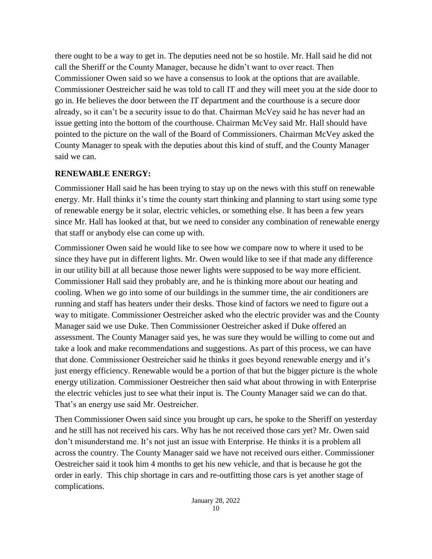there ought to be a way to get in. The deputies need not be so hostile. Mr. Hall said he did not call the Sheriff or the County Manager, because he didn't want to over react. Then Commissioner Owen said so we have a consensus to look at the options that are available. Commissioner Oestreicher said he was told to call IT and they will meet you at the side door to go in. He believes the door between the IT department and the courthouse is a secure door already, so it can't be a security issue to do that. Chairman McVey said he has never had an issue getting into the bottom of the courthouse. Chairman McVey said Mr. Hall should have pointed to the picture on the wall of the Board of Commissioners. Chairman McVey asked the County Manager to speak with the deputies about this kind of stuff, and the County Manager said we can.

## **RENEWABLE ENERGY:**

Commissioner Hall said he has been trying to stay up on the news with this stuff on renewable energy. Mr. Hall thinks it's time the county start thinking and planning to start using some type of renewable energy be it solar, electric vehicles, or something else. It has been a few years since Mr. Hall has looked at that, but we need to consider any combination of renewable energy that staff or anybody else can come up with.

Commissioner Owen said he would like to see how we compare now to where it used to be since they have put in different lights. Mr. Owen would like to see if that made any difference in our utility bill at all because those newer lights were supposed to be way more efficient. Commissioner Hall said they probably are, and he is thinking more about our heating and cooling. When we go into some of our buildings in the summer time, the air conditioners are running and staff has heaters under their desks. Those kind of factors we need to figure out a way to mitigate. Commissioner Oestreicher asked who the electric provider was and the County Manager said we use Duke. Then Commissioner Oestreicher asked if Duke offered an assessment. The County Manager said yes, he was sure they would be willing to come out and take a look and make recommendations and suggestions. As part of this process, we can have that done. Commissioner Oestreicher said he thinks it goes beyond renewable energy and it's just energy efficiency. Renewable would be a portion of that but the bigger picture is the whole energy utilization. Commissioner Oestreicher then said what about throwing in with Enterprise the electric vehicles just to see what their input is. The County Manager said we can do that. That's an energy use said Mr. Oestreicher.

Then Commissioner Owen said since you brought up cars, he spoke to the Sheriff on yesterday and he still has not received his cars. Why has he not received those cars yet? Mr. Owen said don't misunderstand me. It's not just an issue with Enterprise. He thinks it is a problem all across the country. The County Manager said we have not received ours either. Commissioner Oestreicher said it took him 4 months to get his new vehicle, and that is because he got the order in early. This chip shortage in cars and re-outfitting those cars is yet another stage of complications.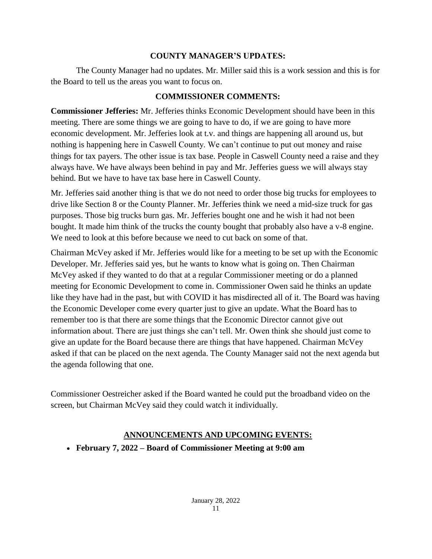## **COUNTY MANAGER'S UPDATES:**

The County Manager had no updates. Mr. Miller said this is a work session and this is for the Board to tell us the areas you want to focus on.

# **COMMISSIONER COMMENTS:**

**Commissioner Jefferies:** Mr. Jefferies thinks Economic Development should have been in this meeting. There are some things we are going to have to do, if we are going to have more economic development. Mr. Jefferies look at t.v. and things are happening all around us, but nothing is happening here in Caswell County. We can't continue to put out money and raise things for tax payers. The other issue is tax base. People in Caswell County need a raise and they always have. We have always been behind in pay and Mr. Jefferies guess we will always stay behind. But we have to have tax base here in Caswell County.

Mr. Jefferies said another thing is that we do not need to order those big trucks for employees to drive like Section 8 or the County Planner. Mr. Jefferies think we need a mid-size truck for gas purposes. Those big trucks burn gas. Mr. Jefferies bought one and he wish it had not been bought. It made him think of the trucks the county bought that probably also have a v-8 engine. We need to look at this before because we need to cut back on some of that.

Chairman McVey asked if Mr. Jefferies would like for a meeting to be set up with the Economic Developer. Mr. Jefferies said yes, but he wants to know what is going on. Then Chairman McVey asked if they wanted to do that at a regular Commissioner meeting or do a planned meeting for Economic Development to come in. Commissioner Owen said he thinks an update like they have had in the past, but with COVID it has misdirected all of it. The Board was having the Economic Developer come every quarter just to give an update. What the Board has to remember too is that there are some things that the Economic Director cannot give out information about. There are just things she can't tell. Mr. Owen think she should just come to give an update for the Board because there are things that have happened. Chairman McVey asked if that can be placed on the next agenda. The County Manager said not the next agenda but the agenda following that one.

Commissioner Oestreicher asked if the Board wanted he could put the broadband video on the screen, but Chairman McVey said they could watch it individually.

# **ANNOUNCEMENTS AND UPCOMING EVENTS:**

**February 7, 2022 – Board of Commissioner Meeting at 9:00 am**